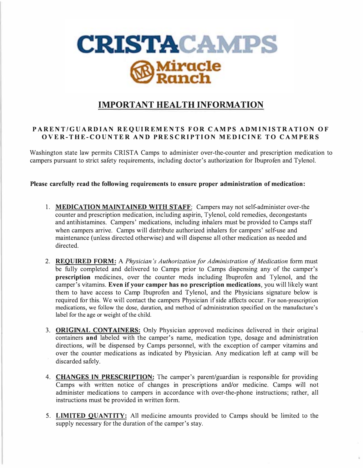

## **IMPORTANT HEALTH INFORMATION**

## **PARENT/GU AR DIA N REQUIREMENTS FOR CAM PS A DMINIS TRATION O F OVER-THE- C OU NTER AND PRES CRIP TIO N ME DICINE TO CAMPERS**

Washington state law permits CRISTA Camps to administer over-the-counter and prescription medication to campers pursuant to strict safety requirements, including doctor's authorization for Ibuprofen and Tylenol.

## **Please carefully read the following requirements to ensure proper administration of medication:**

- **1. MEDICATION MAINTAINED WITH STAFF:** Campers may not self-administer over-the counter and prescription medication, including aspirin, Tylenol, cold remedies, decongestants and antihistamines. Campers' medications, including inhalers must be provided to Camps staff when campers arrive. Camps will distribute authorized inhalers for campers' self-use and maintenance (unless directed otherwise) and will dispense all other medication as needed and directed.
- 2. **REQUIRED FORM:** A *Physician's Authorization for Administration of Medication* form must be fully completed and delivered to Camps prior to Camps dispensing any of the camper's **prescription** medicines, over the counter meds including Ibuprofen and Tylenol, and the camper's vitamins. **Even** if **your camper has no prescription medications,** you will likely want them to have access to Camp Ibuprofen and Tylenol, and the Physicians signature below is required for this. We will contact the campers Physician if side affects occur. For non-prescription medications, we follow the dose, duration, and method of administration specified on the manufacture's label for the age or weight of the child.
- 3. **ORIGINAL CONTAINERS:** Only Physician approved medicines delivered in their original containers **and** labeled with the camper's name, medication type, dosage and administration directions, will be dispensed by Camps personnel, with the exception of camper vitamins and over the counter medications as indicated by Physician. Any medication left at camp will be discarded safely.
- 4. **CHANGES IN PRESCRIPTION:** The camper's parent/guardian is responsible for providing Camps with written notice of changes in prescriptions and/or medicine. Camps will not administer medications to campers in accordance with over-the-phone instructions; rather, all instructions must be provided in written form.
- 5. **LIMITED QUANTITY:** All medicine amounts provided to Camps should be limited to the supply necessary for the duration of the camper's stay.